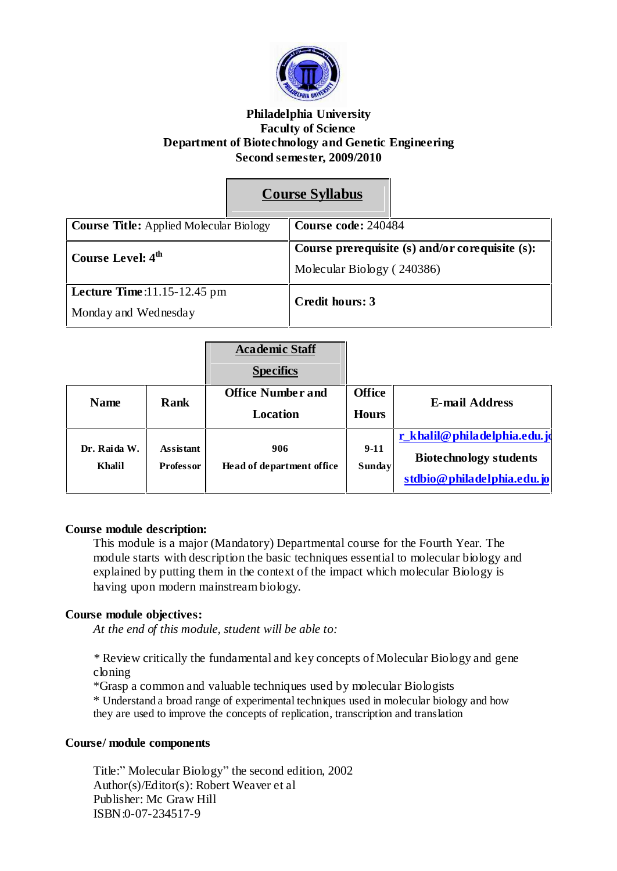

#### **Philadelphia University Faculty of Science Department of Biotechnology and Genetic Engineering Second semester, 2009/2010**

# **Course Syllabus**

| <b>Course Title:</b> Applied Molecular Biology         |  | Course code: 240484                                                           |  |
|--------------------------------------------------------|--|-------------------------------------------------------------------------------|--|
| Course Level: 4 <sup>th</sup>                          |  | Course prerequisite (s) and/or corequisite (s):<br>Molecular Biology (240386) |  |
| Lecture Time: $11.15-12.45$ pm<br>Monday and Wednesday |  | Credit hours: 3                                                               |  |

|                               |                                      | <b>Academic Staff</b><br><b>Specifics</b>   |                               |                                                                                             |
|-------------------------------|--------------------------------------|---------------------------------------------|-------------------------------|---------------------------------------------------------------------------------------------|
| <b>Name</b>                   | Rank                                 | <b>Office Number and</b><br><b>Location</b> | <b>Office</b><br><b>Hours</b> | E-mail Address                                                                              |
| Dr. Raida W.<br><b>Khalil</b> | <b>Assistant</b><br><b>Professor</b> | 906<br>Head of department office            | $9-11$<br><b>Sunday</b>       | r_khalil@philadelphia.edu.jo<br><b>Biotechnology students</b><br>stdbio@philadelphia.edu.jo |

#### **Course module description:**

This module is a major (Mandatory) Departmental course for the Fourth Year. The module starts with description the basic techniques essential to molecular biology and explained by putting them in the context of the impact which molecular Biology is having upon modern mainstream biology.

## **Course module objectives:**

*At the end of this module, student will be able to:*

*\** Review critically the fundamental and key concepts of Molecular Biology and gene cloning

\*Grasp a common and valuable techniques used by molecular Biologists

\* Understand a broad range of experimental techniques used in molecular biology and how they are used to improve the concepts of replication, transcription and translation

#### **Course/ module components**

Title:" Molecular Biology" the second edition, 2002 Author(s)/Editor(s): Robert Weaver et al Publisher: Mc Graw Hill ISBN:0-07-234517-9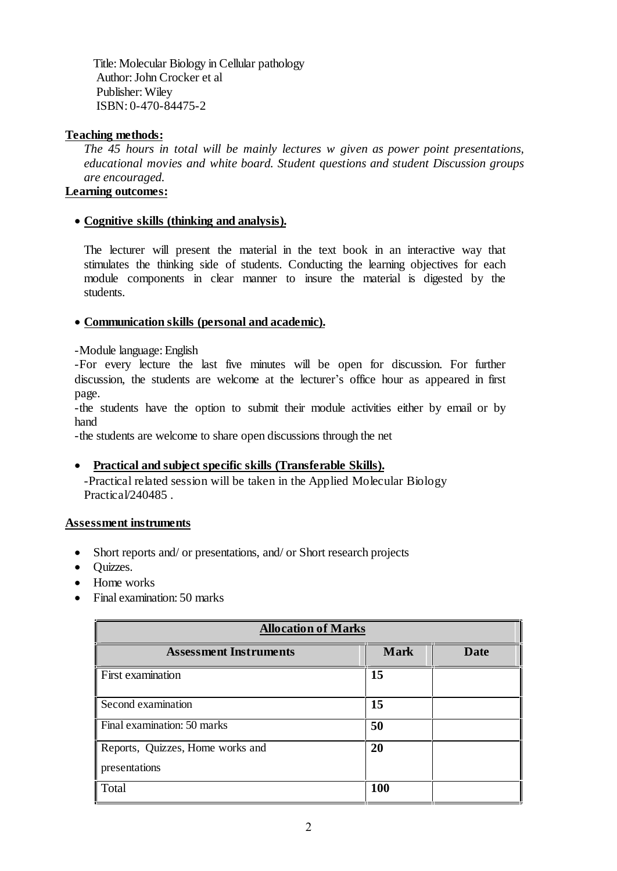Title: Molecular Biology in Cellular pathology Author: John Crocker et al Publisher: Wiley ISBN: 0-470-84475-2

#### **Teaching methods:**

*The 45 hours in total will be mainly lectures w given as power point presentations, educational movies and white board. Student questions and student Discussion groups are encouraged.*

## **Learning outcomes:**

## **Cognitive skills (thinking and analysis).**

The lecturer will present the material in the text book in an interactive way that stimulates the thinking side of students. Conducting the learning objectives for each module components in clear manner to insure the material is digested by the students.

## **Communication skills (personal and academic).**

-Module language: English

-For every lecture the last five minutes will be open for discussion. For further discussion, the students are welcome at the lecturer's office hour as appeared in first page.

-the students have the option to submit their module activities either by email or by hand

-the students are welcome to share open discussions through the net

## **Practical and subject specific skills (Transferable Skills).**

-Practical related session will be taken in the Applied Molecular Biology Practical/240485.

#### **Assessment instruments**

- Short reports and/ or presentations, and/ or Short research projects
- Ouizzes.
- Home works
- Final examination: 50 marks

| <b>Allocation of Marks</b>                        |             |             |  |
|---------------------------------------------------|-------------|-------------|--|
| <b>Assessment Instruments</b>                     | <b>Mark</b> | <b>Date</b> |  |
| First examination                                 | 15          |             |  |
| Second examination                                | 15          |             |  |
| Final examination: 50 marks                       | 50          |             |  |
| Reports, Quizzes, Home works and<br>presentations | 20          |             |  |
| Total                                             | 100         |             |  |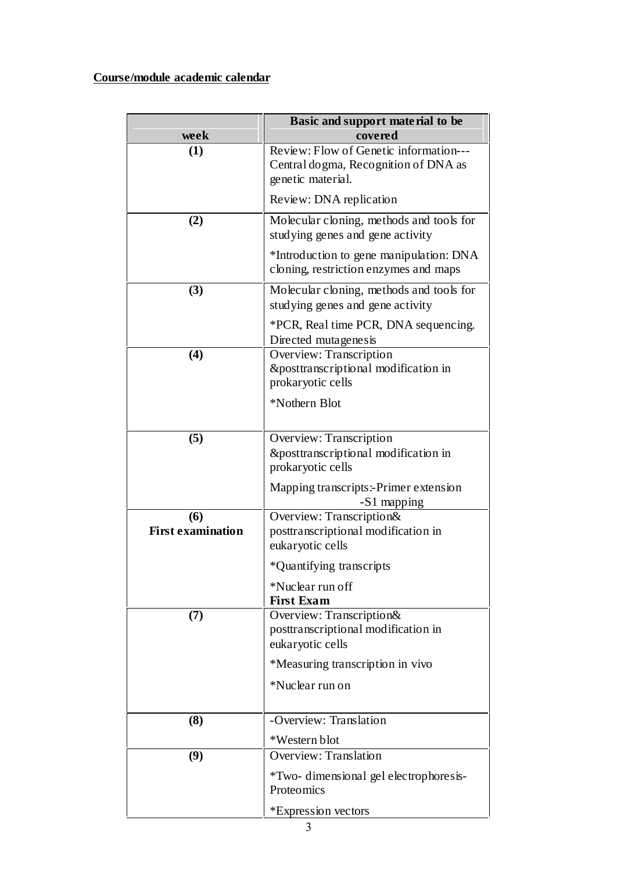## **Course/module academic calendar**

|                                 | Basic and support material to be                                                                    |
|---------------------------------|-----------------------------------------------------------------------------------------------------|
| week                            | covered                                                                                             |
| (1)                             | Review: Flow of Genetic information---<br>Central dogma, Recognition of DNA as<br>genetic material. |
|                                 | Review: DNA replication                                                                             |
| (2)                             | Molecular cloning, methods and tools for<br>studying genes and gene activity                        |
|                                 | *Introduction to gene manipulation: DNA<br>cloning, restriction enzymes and maps                    |
| (3)                             | Molecular cloning, methods and tools for<br>studying genes and gene activity                        |
|                                 | *PCR, Real time PCR, DNA sequencing.<br>Directed mutagenesis                                        |
| (4)                             | Overview: Transcription<br>&posttranscriptional modification in<br>prokaryotic cells                |
|                                 | *Nothern Blot                                                                                       |
| (5)                             | Overview: Transcription<br>&posttranscriptional modification in<br>prokaryotic cells                |
|                                 | Mapping transcripts:-Primer extension<br>-S1 mapping                                                |
| (6)<br><b>First examination</b> | Overview: Transcription&<br>posttranscriptional modification in<br>eukaryotic cells                 |
|                                 | *Quantifying transcripts                                                                            |
|                                 | *Nuclear run off<br><b>First Exam</b>                                                               |
| (7)                             | Overview: Transcription&<br>posttranscriptional modification in<br>eukaryotic cells                 |
|                                 | *Measuring transcription in vivo                                                                    |
|                                 | *Nuclear run on                                                                                     |
| (8)                             | -Overview: Translation                                                                              |
|                                 | *Western blot                                                                                       |
| (9)                             | Overview: Translation                                                                               |
|                                 | *Two-dimensional gel electrophoresis-<br>Proteomics                                                 |
|                                 | *Expression vectors                                                                                 |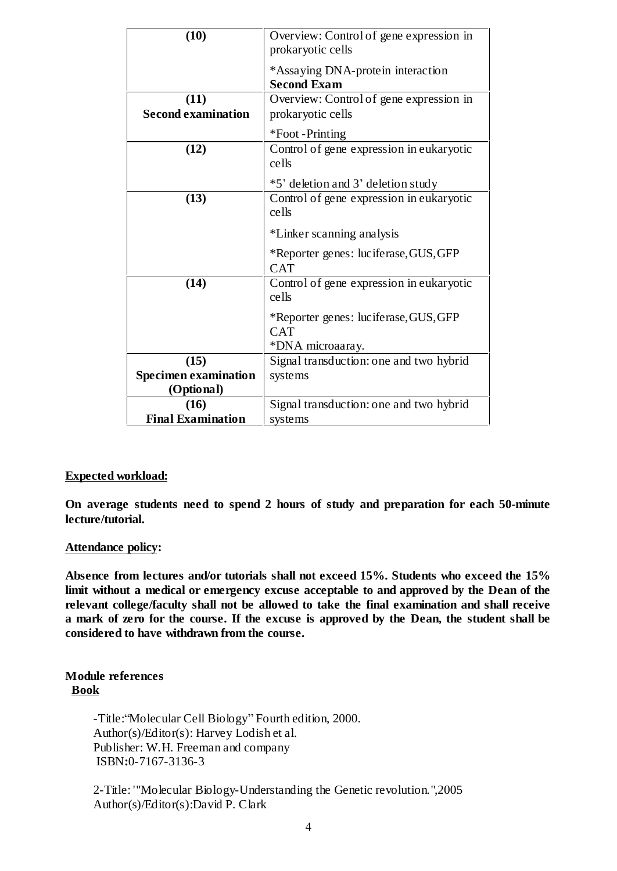| (10)                        | Overview: Control of gene expression in<br>prokaryotic cells |
|-----------------------------|--------------------------------------------------------------|
|                             | *Assaying DNA-protein interaction<br><b>Second Exam</b>      |
| (11)                        | Overview: Control of gene expression in                      |
| <b>Second examination</b>   | prokaryotic cells                                            |
|                             |                                                              |
|                             | *Foot -Printing                                              |
| (12)                        | Control of gene expression in eukaryotic                     |
|                             | cells                                                        |
|                             |                                                              |
|                             | *5' deletion and 3' deletion study                           |
| (13)                        | Control of gene expression in eukaryotic                     |
|                             | cells                                                        |
|                             | *Linker scanning analysis                                    |
|                             | *Reporter genes: luciferase, GUS, GFP                        |
|                             | <b>CAT</b>                                                   |
| (14)                        | Control of gene expression in eukaryotic                     |
|                             | cells                                                        |
|                             |                                                              |
|                             | *Reporter genes: luciferase, GUS, GFP                        |
|                             | <b>CAT</b>                                                   |
|                             | *DNA microaaray.                                             |
| (15)                        | Signal transduction: one and two hybrid                      |
| <b>Specimen examination</b> | systems                                                      |
| (Optional)                  |                                                              |
| (16)                        | Signal transduction: one and two hybrid                      |
| <b>Final Examination</b>    | systems                                                      |
|                             |                                                              |

#### **Expected workload:**

**On average students need to spend 2 hours of study and preparation for each 50-minute lecture/tutorial.**

#### **Attendance policy:**

**Absence from lectures and/or tutorials shall not exceed 15%. Students who exceed the 15% limit without a medical or emergency excuse acceptable to and approved by the Dean of the relevant college/faculty shall not be allowed to take the final examination and shall receive a mark of zero for the course. If the excuse is approved by the Dean, the student shall be considered to have withdrawn from the course.**

#### **Module references Book**

-Title: "Molecular Cell Biology" Fourth edition, 2000. Author(s)/Editor(s): Harvey Lodish et al. Publisher: W.H. Freeman and company ISBN**:**0-7167-3136-3

2-Title: '"Molecular Biology-Understanding the Genetic revolution.",2005 Author(s)/Editor(s):David P. Clark